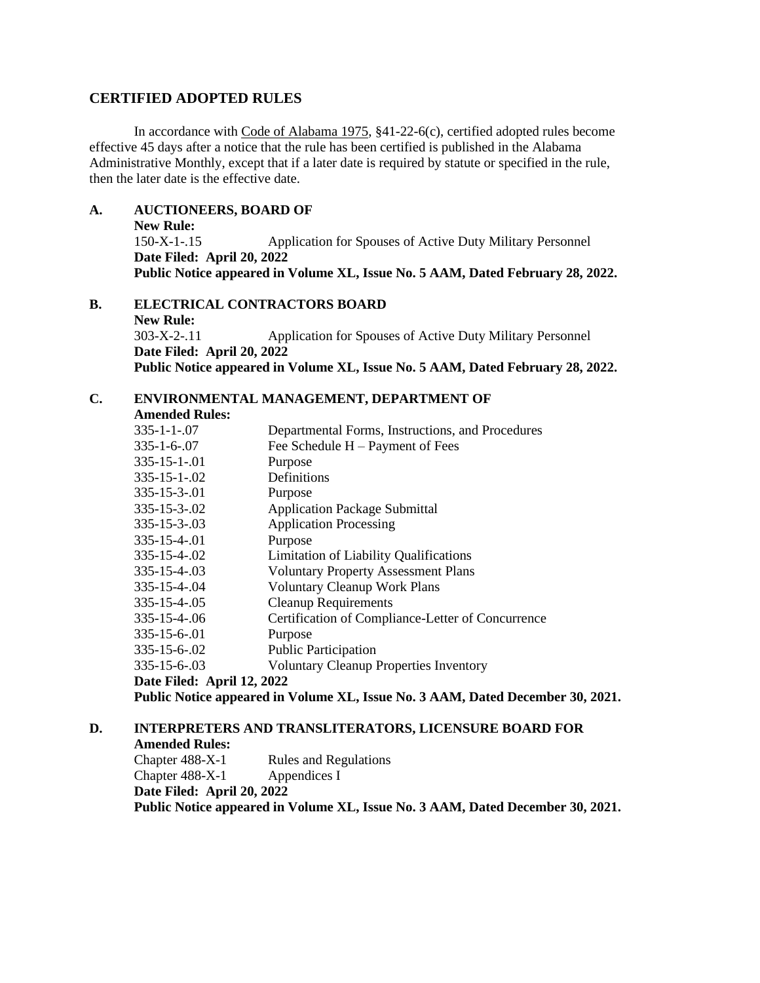## **CERTIFIED ADOPTED RULES**

In accordance with Code of Alabama 1975, §41-22-6(c), certified adopted rules become effective 45 days after a notice that the rule has been certified is published in the Alabama Administrative Monthly, except that if a later date is required by statute or specified in the rule, then the later date is the effective date.

## **A. AUCTIONEERS, BOARD OF**

**New Rule:** 150-X-1-.15 Application for Spouses of Active Duty Military Personnel **Date Filed: April 20, 2022 Public Notice appeared in Volume XL, Issue No. 5 AAM, Dated February 28, 2022.**

**B. ELECTRICAL CONTRACTORS BOARD New Rule:** 303-X-2-.11 Application for Spouses of Active Duty Military Personnel **Date Filed: April 20, 2022 Public Notice appeared in Volume XL, Issue No. 5 AAM, Dated February 28, 2022.**

## **C. ENVIRONMENTAL MANAGEMENT, DEPARTMENT OF**

**Amended Rules:**

| $335 - 1 - 1 - 07$                                                             | Departmental Forms, Instructions, and Procedures  |
|--------------------------------------------------------------------------------|---------------------------------------------------|
| $335 - 1 - 6 - 07$                                                             | Fee Schedule $H -$ Payment of Fees                |
| $335 - 15 - 1 - 01$                                                            | Purpose                                           |
| $335 - 15 - 1 - 02$                                                            | Definitions                                       |
| $335 - 15 - 3 - 01$                                                            | Purpose                                           |
| $335 - 15 - 3 - 02$                                                            | <b>Application Package Submittal</b>              |
| $335 - 15 - 3 - 03$                                                            | <b>Application Processing</b>                     |
| $335 - 15 - 4 - 01$                                                            | Purpose                                           |
| $335 - 15 - 4 - 02$                                                            | <b>Limitation of Liability Qualifications</b>     |
| $335 - 15 - 4 - 03$                                                            | <b>Voluntary Property Assessment Plans</b>        |
| 335-15-4-.04                                                                   | <b>Voluntary Cleanup Work Plans</b>               |
| $335 - 15 - 4 - 05$                                                            | <b>Cleanup Requirements</b>                       |
| 335-15-4-.06                                                                   | Certification of Compliance-Letter of Concurrence |
| $335 - 15 - 6 - 01$                                                            | Purpose                                           |
| 335-15-6-.02                                                                   | <b>Public Participation</b>                       |
| $335 - 15 - 6 - 03$                                                            | <b>Voluntary Cleanup Properties Inventory</b>     |
| Date Filed: April 12, 2022                                                     |                                                   |
| Public Notice appeared in Volume XL, Issue No. 3 AAM, Dated December 30, 2021. |                                                   |
|                                                                                |                                                   |

## **D. INTERPRETERS AND TRANSLITERATORS, LICENSURE BOARD FOR**

**Amended Rules:** Chapter 488-X-1 Rules and Regulations

Chapter 488-X-1 Appendices I

**Date Filed: April 20, 2022**

**Public Notice appeared in Volume XL, Issue No. 3 AAM, Dated December 30, 2021.**